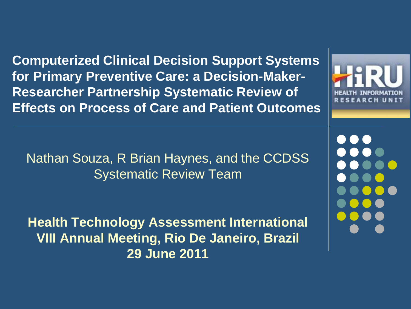**Computerized Clinical Decision Support Systems for Primary Preventive Care: a Decision-Maker-Researcher Partnership Systematic Review of Effects on Process of Care and Patient Outcomes**

Nathan Souza, R Brian Haynes, and the CCDSS Systematic Review Team

**Health Technology Assessment International VIII Annual Meeting, Rio De Janeiro, Brazil 29 June 2011**

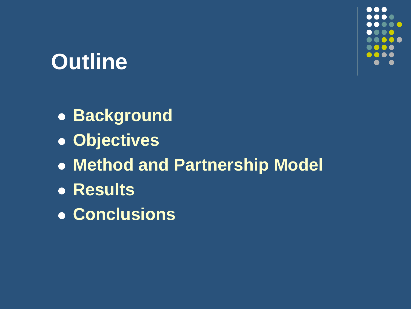# **Outline**

- **Background**
- **Objectives**
- **Method and Partnership Model**
- **Results**
- **Conclusions**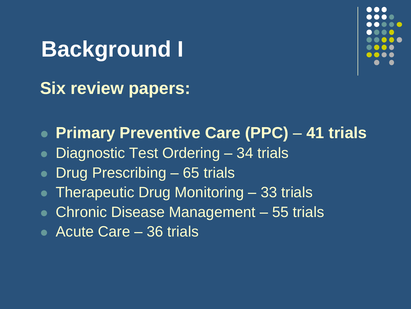**Background I Six review papers:**



**Primary Preventive Care (PPC)** – **41 trials**

- Diagnostic Test Ordering 34 trials
- Drug Prescribing 65 trials
- Therapeutic Drug Monitoring 33 trials
- Chronic Disease Management 55 trials
- Acute Care 36 trials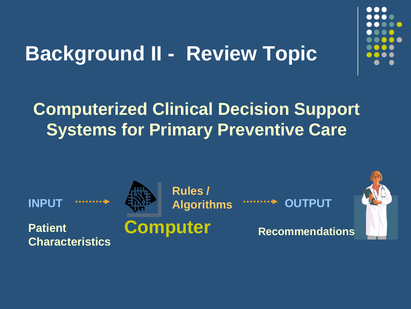

## **Background II - Review Topic**

### **Computerized Clinical Decision Support Systems for Primary Preventive Care**

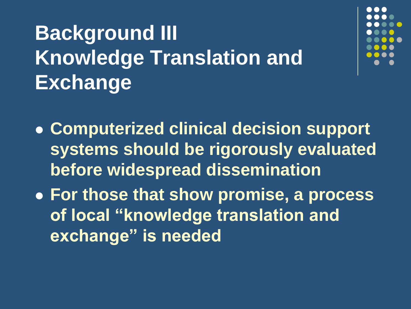# **Background III Knowledge Translation and Exchange**



- **Computerized clinical decision support systems should be rigorously evaluated before widespread dissemination**
- **For those that show promise, a process of local "knowledge translation and exchange" is needed**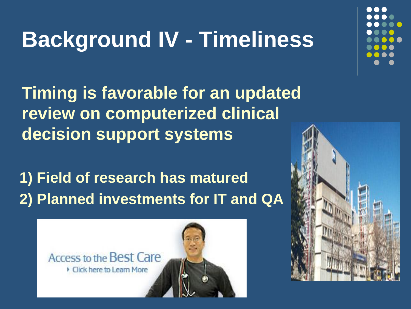# **Background IV - Timeliness**

**Timing is favorable for an updated review on computerized clinical decision support systems**

**1) Field of research has matured 2) Planned investments for IT and QA**



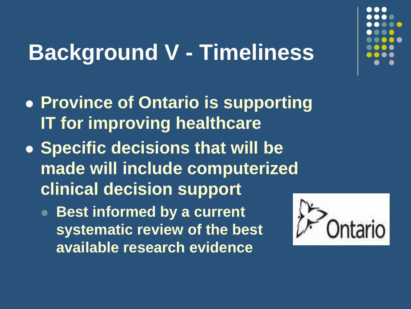# **Background V - Timeliness**

- **Province of Ontario is supporting IT for improving healthcare**
- **Specific decisions that will be made will include computerized clinical decision support** 
	- **Best informed by a current systematic review of the best available research evidence**

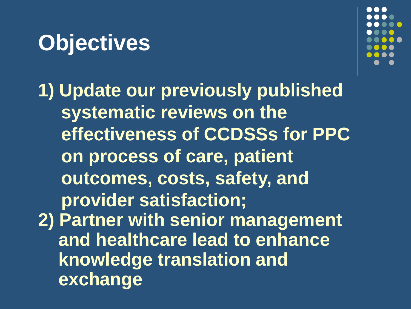# **Objectives**



**1) Update our previously published systematic reviews on the effectiveness of CCDSSs for PPC on process of care, patient outcomes, costs, safety, and provider satisfaction; 2) Partner with senior management and healthcare lead to enhance knowledge translation and exchange**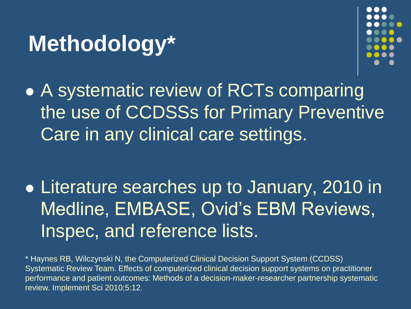# **Methodology\***



• A systematic review of RCTs comparing the use of CCDSSs for Primary Preventive Care in any clinical care settings.

 Literature searches up to January, 2010 in Medline, EMBASE, Ovid's EBM Reviews, Inspec, and reference lists.

\* Haynes RB, Wilczynski N, the Computerized Clinical Decision Support System (CCDSS) Systematic Review Team. Effects of computerized clinical decision support systems on practitioner performance and patient outcomes: Methods of a decision-maker-researcher partnership systematic review. Implement Sci 2010;5:12.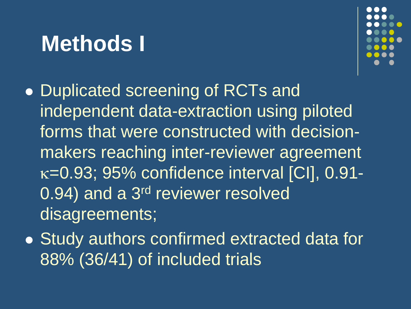## **Methods I**



- Duplicated screening of RCTs and independent data-extraction using piloted forms that were constructed with decisionmakers reaching inter-reviewer agreement  $\kappa$ =0.93; 95% confidence interval [CI], 0.91-0.94) and a 3<sup>rd</sup> reviewer resolved disagreements;
- Study authors confirmed extracted data for 88% (36/41) of included trials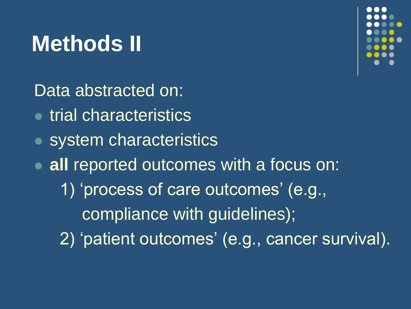# **Methods II**



Data abstracted on:

- **trial characteristics**
- system characteristics
- **all** reported outcomes with a focus on: 1) 'process of care outcomes' (e.g., compliance with guidelines); 2) 'patient outcomes' (e.g., cancer survival).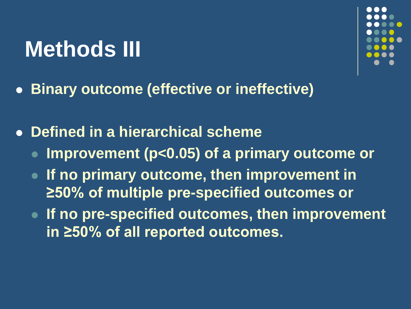# **Methods III**



**Binary outcome (effective or ineffective)**

**Defined in a hierarchical scheme**

- **Improvement (p<0.05) of a primary outcome or**
- **If no primary outcome, then improvement in ≥50% of multiple pre-specified outcomes or**
- **If no pre-specified outcomes, then improvement in ≥50% of all reported outcomes.**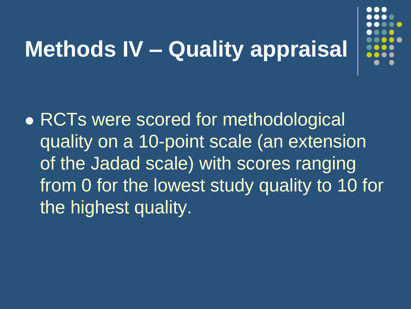# **Methods IV – Quality appraisal**



• RCTs were scored for methodological quality on a 10-point scale (an extension of the Jadad scale) with scores ranging from 0 for the lowest study quality to 10 for the highest quality.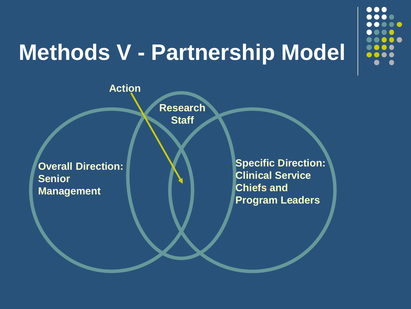# **Methods V - Partnership Model**

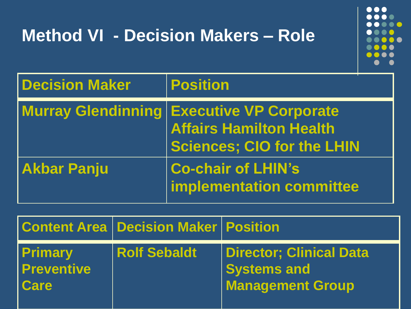# **Method VI - Decision Makers – Role**

. . . . . . . . . . .  $\bullet$   $\bullet$  $\bullet$  $\bullet$   $\bullet$ 

| <b>Decision Maker</b> | <b>Position</b>                                                                                                         |
|-----------------------|-------------------------------------------------------------------------------------------------------------------------|
|                       | <b>Murray Glendinning Executive VP Corporate</b><br><b>Affairs Hamilton Health</b><br><b>Sciences: CIO for the LHIN</b> |
| <b>Akbar Panju</b>    | <b>Co-chair of LHIN's</b><br>implementation committee                                                                   |

|                                                    | <b>Content Area   Decision Maker   Position</b> |                                                                                 |
|----------------------------------------------------|-------------------------------------------------|---------------------------------------------------------------------------------|
| <b>Primary</b><br><b>Preventive</b><br><b>Care</b> | <b>Rolf Sebaldt</b>                             | <b>Director; Clinical Data</b><br><b>Systems and</b><br><b>Management Group</b> |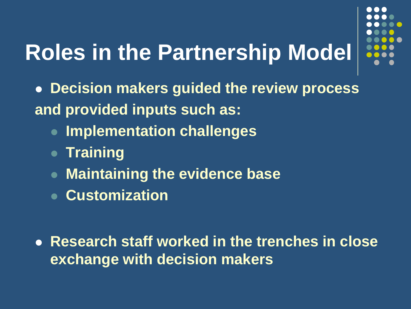# **Roles in the Partnership Model**



- **Decision makers guided the review process and provided inputs such as:** 
	- **Implementation challenges**
	- **Training**
	- **Maintaining the evidence base**
	- **Customization**
- **Research staff worked in the trenches in close exchange with decision makers**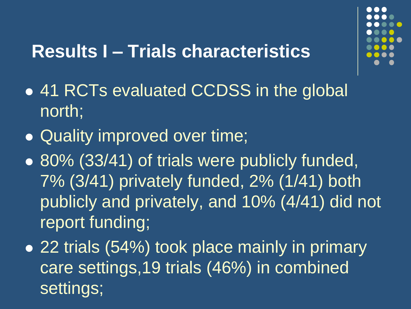### **Results I – Trials characteristics**

- 
- 41 RCTs evaluated CCDSS in the global north;
- Quality improved over time;
- 80% (33/41) of trials were publicly funded, 7% (3/41) privately funded, 2% (1/41) both publicly and privately, and 10% (4/41) did not report funding;
- 22 trials (54%) took place mainly in primary care settings,19 trials (46%) in combined settings;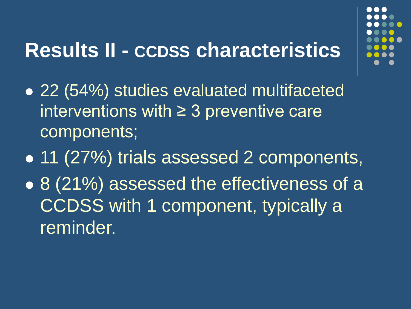## **Results II - CCDSS characteristics**

- 
- 22 (54%) studies evaluated multifaceted interventions with  $\geq$  3 preventive care components;
- 11 (27%) trials assessed 2 components,
- 8 (21%) assessed the effectiveness of a CCDSS with 1 component, typically a reminder.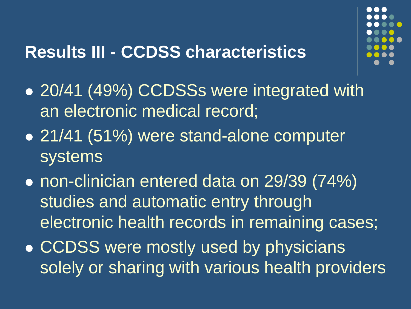### **Results III - CCDSS characteristics**



- 20/41 (49%) CCDSSs were integrated with an electronic medical record;
- 21/41 (51%) were stand-alone computer systems
- non-clinician entered data on 29/39 (74%) studies and automatic entry through electronic health records in remaining cases;
- **CCDSS were mostly used by physicians** solely or sharing with various health providers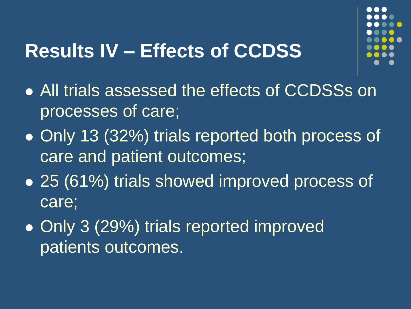### **Results IV – Effects of CCDSS**



- All trials assessed the effects of CCDSSs on processes of care;
- Only 13 (32%) trials reported both process of care and patient outcomes;
- 25 (61%) trials showed improved process of care;
- Only 3 (29%) trials reported improved patients outcomes.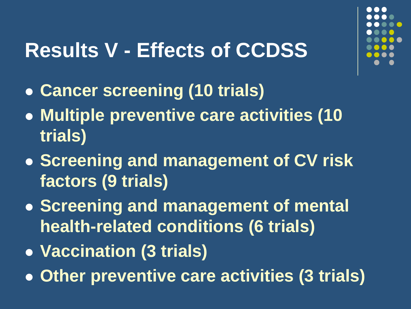## **Results V - Effects of CCDSS**

- **Cancer screening (10 trials)**
- **Multiple preventive care activities (10 trials)**
- **Screening and management of CV risk factors (9 trials)**
- **Screening and management of mental health-related conditions (6 trials)**
- **Vaccination (3 trials)**
- **Other preventive care activities (3 trials)**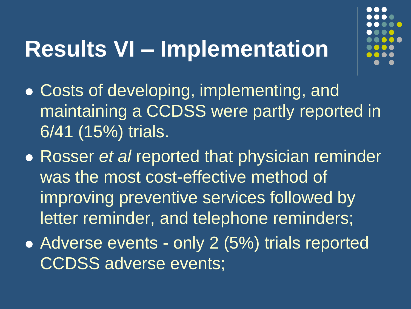# **Results VI – Implementation**



- Costs of developing, implementing, and maintaining a CCDSS were partly reported in 6/41 (15%) trials.
- Rosser *et al* reported that physician reminder was the most cost-effective method of improving preventive services followed by letter reminder, and telephone reminders;
- Adverse events only 2 (5%) trials reported CCDSS adverse events;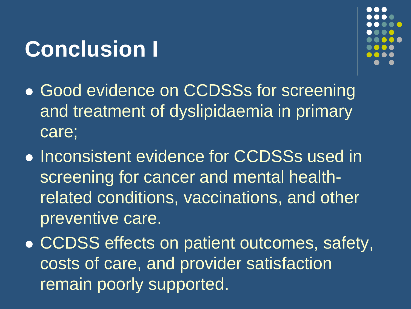# **Conclusion I**



- Good evidence on CCDSSs for screening and treatment of dyslipidaemia in primary care;
- **.** Inconsistent evidence for CCDSSs used in screening for cancer and mental healthrelated conditions, vaccinations, and other preventive care.
- CCDSS effects on patient outcomes, safety, costs of care, and provider satisfaction remain poorly supported.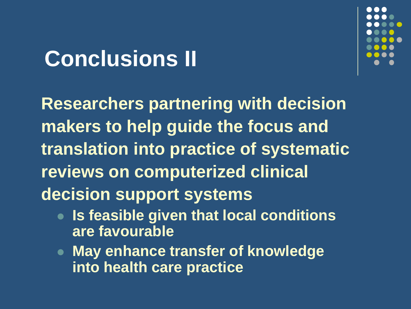# **Conclusions II**



**Researchers partnering with decision makers to help guide the focus and translation into practice of systematic reviews on computerized clinical decision support systems**

- **Is feasible given that local conditions are favourable**
- **May enhance transfer of knowledge into health care practice**